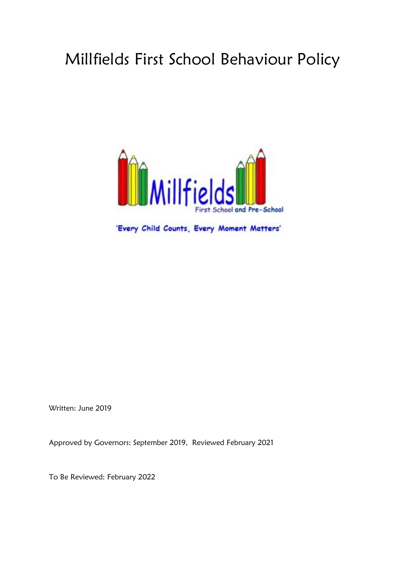# Millfields First School Behaviour Policy



'Every Child Counts, Every Moment Matters'

Written: June 2019

Approved by Governors: September 2019, Reviewed February 2021

To Be Reviewed: February 2022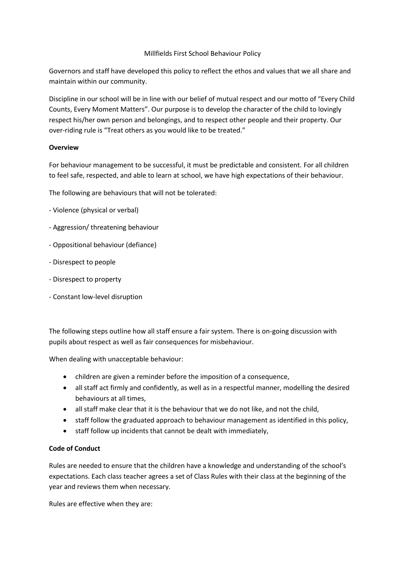# Millfields First School Behaviour Policy

Governors and staff have developed this policy to reflect the ethos and values that we all share and maintain within our community.

Discipline in our school will be in line with our belief of mutual respect and our motto of "Every Child Counts, Every Moment Matters". Our purpose is to develop the character of the child to lovingly respect his/her own person and belongings, and to respect other people and their property. Our over-riding rule is "Treat others as you would like to be treated."

# **Overview**

For behaviour management to be successful, it must be predictable and consistent. For all children to feel safe, respected, and able to learn at school, we have high expectations of their behaviour.

The following are behaviours that will not be tolerated:

- Violence (physical or verbal)
- Aggression/ threatening behaviour
- Oppositional behaviour (defiance)
- Disrespect to people
- Disrespect to property
- Constant low-level disruption

The following steps outline how all staff ensure a fair system. There is on-going discussion with pupils about respect as well as fair consequences for misbehaviour.

When dealing with unacceptable behaviour:

- children are given a reminder before the imposition of a consequence,
- all staff act firmly and confidently, as well as in a respectful manner, modelling the desired behaviours at all times,
- all staff make clear that it is the behaviour that we do not like, and not the child,
- staff follow the graduated approach to behaviour management as identified in this policy,
- staff follow up incidents that cannot be dealt with immediately,

# **Code of Conduct**

Rules are needed to ensure that the children have a knowledge and understanding of the school's expectations. Each class teacher agrees a set of Class Rules with their class at the beginning of the year and reviews them when necessary.

Rules are effective when they are: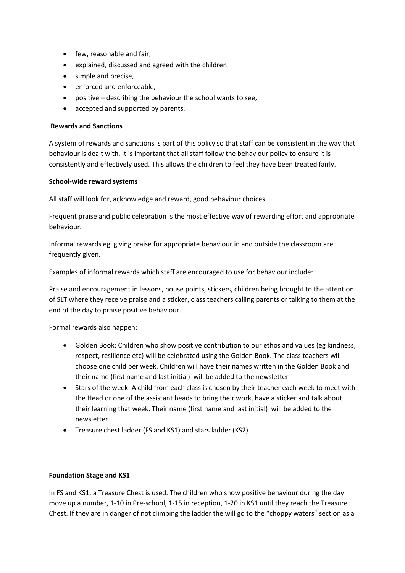- few, reasonable and fair,
- explained, discussed and agreed with the children,
- simple and precise,
- enforced and enforceable,
- positive describing the behaviour the school wants to see,
- accepted and supported by parents.

# **Rewards and Sanctions**

A system of rewards and sanctions is part of this policy so that staff can be consistent in the way that behaviour is dealt with. It is important that all staff follow the behaviour policy to ensure it is consistently and effectively used. This allows the children to feel they have been treated fairly.

# **School-wide reward systems**

All staff will look for, acknowledge and reward, good behaviour choices.

Frequent praise and public celebration is the most effective way of rewarding effort and appropriate behaviour.

Informal rewards eg giving praise for appropriate behaviour in and outside the classroom are frequently given.

Examples of informal rewards which staff are encouraged to use for behaviour include:

Praise and encouragement in lessons, house points, stickers, children being brought to the attention of SLT where they receive praise and a sticker, class teachers calling parents or talking to them at the end of the day to praise positive behaviour.

Formal rewards also happen;

- Golden Book: Children who show positive contribution to our ethos and values (eg kindness, respect, resilience etc) will be celebrated using the Golden Book. The class teachers will choose one child per week. Children will have their names written in the Golden Book and their name (first name and last initial) will be added to the newsletter
- Stars of the week: A child from each class is chosen by their teacher each week to meet with the Head or one of the assistant heads to bring their work, have a sticker and talk about their learning that week. Their name (first name and last initial) will be added to the newsletter.
- Treasure chest ladder (FS and KS1) and stars ladder (KS2)

#### **Foundation Stage and KS1**

In FS and KS1, a Treasure Chest is used. The children who show positive behaviour during the day move up a number, 1-10 in Pre-school, 1-15 in reception, 1-20 in KS1 until they reach the Treasure Chest. If they are in danger of not climbing the ladder the will go to the "choppy waters" section as a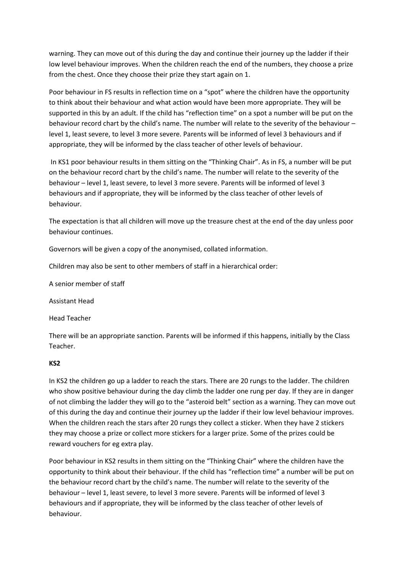warning. They can move out of this during the day and continue their journey up the ladder if their low level behaviour improves. When the children reach the end of the numbers, they choose a prize from the chest. Once they choose their prize they start again on 1.

Poor behaviour in FS results in reflection time on a "spot" where the children have the opportunity to think about their behaviour and what action would have been more appropriate. They will be supported in this by an adult. If the child has "reflection time" on a spot a number will be put on the behaviour record chart by the child's name. The number will relate to the severity of the behaviour – level 1, least severe, to level 3 more severe. Parents will be informed of level 3 behaviours and if appropriate, they will be informed by the class teacher of other levels of behaviour.

In KS1 poor behaviour results in them sitting on the "Thinking Chair". As in FS, a number will be put on the behaviour record chart by the child's name. The number will relate to the severity of the behaviour – level 1, least severe, to level 3 more severe. Parents will be informed of level 3 behaviours and if appropriate, they will be informed by the class teacher of other levels of behaviour.

The expectation is that all children will move up the treasure chest at the end of the day unless poor behaviour continues.

Governors will be given a copy of the anonymised, collated information.

Children may also be sent to other members of staff in a hierarchical order:

A senior member of staff

Assistant Head

Head Teacher

There will be an appropriate sanction. Parents will be informed if this happens, initially by the Class Teacher.

#### **KS2**

In KS2 the children go up a ladder to reach the stars. There are 20 rungs to the ladder. The children who show positive behaviour during the day climb the ladder one rung per day. If they are in danger of not climbing the ladder they will go to the "asteroid belt" section as a warning. They can move out of this during the day and continue their journey up the ladder if their low level behaviour improves. When the children reach the stars after 20 rungs they collect a sticker. When they have 2 stickers they may choose a prize or collect more stickers for a larger prize. Some of the prizes could be reward vouchers for eg extra play.

Poor behaviour in KS2 results in them sitting on the "Thinking Chair" where the children have the opportunity to think about their behaviour. If the child has "reflection time" a number will be put on the behaviour record chart by the child's name. The number will relate to the severity of the behaviour – level 1, least severe, to level 3 more severe. Parents will be informed of level 3 behaviours and if appropriate, they will be informed by the class teacher of other levels of behaviour.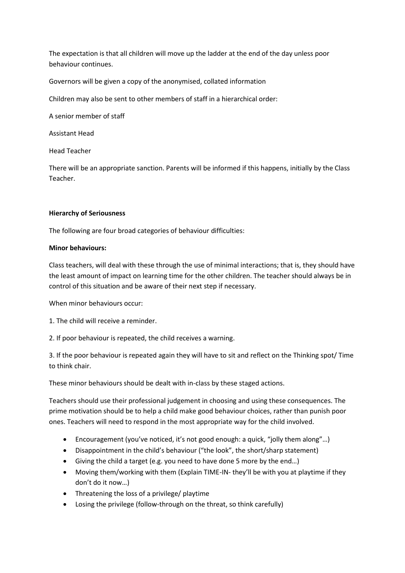The expectation is that all children will move up the ladder at the end of the day unless poor behaviour continues.

Governors will be given a copy of the anonymised, collated information

Children may also be sent to other members of staff in a hierarchical order:

A senior member of staff

Assistant Head

Head Teacher

There will be an appropriate sanction. Parents will be informed if this happens, initially by the Class Teacher.

# **Hierarchy of Seriousness**

The following are four broad categories of behaviour difficulties:

#### **Minor behaviours:**

Class teachers, will deal with these through the use of minimal interactions; that is, they should have the least amount of impact on learning time for the other children. The teacher should always be in control of this situation and be aware of their next step if necessary.

When minor behaviours occur:

1. The child will receive a reminder.

2. If poor behaviour is repeated, the child receives a warning.

3. If the poor behaviour is repeated again they will have to sit and reflect on the Thinking spot/ Time to think chair.

These minor behaviours should be dealt with in-class by these staged actions.

Teachers should use their professional judgement in choosing and using these consequences. The prime motivation should be to help a child make good behaviour choices, rather than punish poor ones. Teachers will need to respond in the most appropriate way for the child involved.

- Encouragement (you've noticed, it's not good enough: a quick, "jolly them along"…)
- Disappointment in the child's behaviour ("the look", the short/sharp statement)
- Giving the child a target (e.g. you need to have done 5 more by the end…)
- Moving them/working with them (Explain TIME-IN- they'll be with you at playtime if they don't do it now…)
- Threatening the loss of a privilege/ playtime
- Losing the privilege (follow-through on the threat, so think carefully)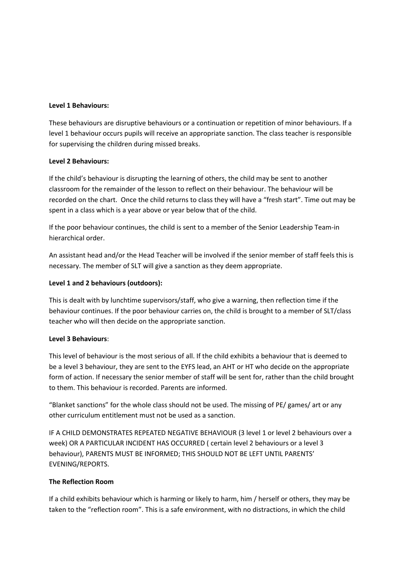#### **Level 1 Behaviours:**

These behaviours are disruptive behaviours or a continuation or repetition of minor behaviours. If a level 1 behaviour occurs pupils will receive an appropriate sanction. The class teacher is responsible for supervising the children during missed breaks.

#### **Level 2 Behaviours:**

If the child's behaviour is disrupting the learning of others, the child may be sent to another classroom for the remainder of the lesson to reflect on their behaviour. The behaviour will be recorded on the chart. Once the child returns to class they will have a "fresh start". Time out may be spent in a class which is a year above or year below that of the child.

If the poor behaviour continues, the child is sent to a member of the Senior Leadership Team-in hierarchical order.

An assistant head and/or the Head Teacher will be involved if the senior member of staff feels this is necessary. The member of SLT will give a sanction as they deem appropriate.

#### **Level 1 and 2 behaviours (outdoors):**

This is dealt with by lunchtime supervisors/staff, who give a warning, then reflection time if the behaviour continues. If the poor behaviour carries on, the child is brought to a member of SLT/class teacher who will then decide on the appropriate sanction.

## **Level 3 Behaviours**:

This level of behaviour is the most serious of all. If the child exhibits a behaviour that is deemed to be a level 3 behaviour, they are sent to the EYFS lead, an AHT or HT who decide on the appropriate form of action. If necessary the senior member of staff will be sent for, rather than the child brought to them. This behaviour is recorded. Parents are informed.

"Blanket sanctions" for the whole class should not be used. The missing of PE/ games/ art or any other curriculum entitlement must not be used as a sanction.

IF A CHILD DEMONSTRATES REPEATED NEGATIVE BEHAVIOUR (3 level 1 or level 2 behaviours over a week) OR A PARTICULAR INCIDENT HAS OCCURRED ( certain level 2 behaviours or a level 3 behaviour), PARENTS MUST BE INFORMED; THIS SHOULD NOT BE LEFT UNTIL PARENTS' EVENING/REPORTS.

#### **The Reflection Room**

If a child exhibits behaviour which is harming or likely to harm, him / herself or others, they may be taken to the "reflection room". This is a safe environment, with no distractions, in which the child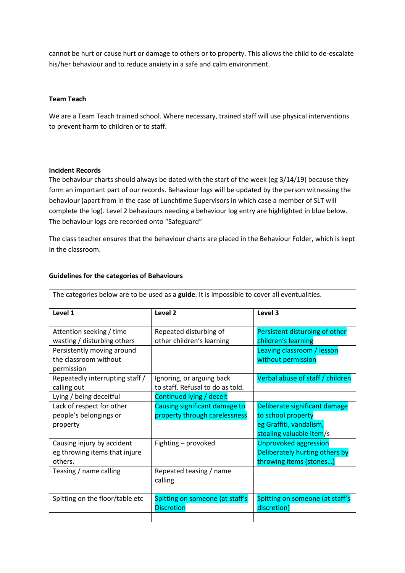cannot be hurt or cause hurt or damage to others or to property. This allows the child to de-escalate his/her behaviour and to reduce anxiety in a safe and calm environment.

#### **Team Teach**

We are a Team Teach trained school. Where necessary, trained staff will use physical interventions to prevent harm to children or to staff.

#### **Incident Records**

The behaviour charts should always be dated with the start of the week (eg 3/14/19) because they form an important part of our records. Behaviour logs will be updated by the person witnessing the behaviour (apart from in the case of Lunchtime Supervisors in which case a member of SLT will complete the log). Level 2 behaviours needing a behaviour log entry are highlighted in blue below. The behaviour logs are recorded onto "Safeguard"

The class teacher ensures that the behaviour charts are placed in the Behaviour Folder, which is kept in the classroom.

| The categories below are to be used as a guide. It is impossible to cover all eventualities. |                                                                |                                                                                                            |  |
|----------------------------------------------------------------------------------------------|----------------------------------------------------------------|------------------------------------------------------------------------------------------------------------|--|
| Level 1                                                                                      | Level <sub>2</sub>                                             | Level 3                                                                                                    |  |
| Attention seeking / time<br>wasting / disturbing others                                      | Repeated disturbing of<br>other children's learning            | Persistent disturbing of other<br>children's learning                                                      |  |
| Persistently moving around<br>the classroom without<br>permission                            |                                                                | Leaving classroom / lesson<br>without permission                                                           |  |
| Repeatedly interrupting staff /<br>calling out                                               | Ignoring, or arguing back<br>to staff. Refusal to do as told.  | Verbal abuse of staff / children                                                                           |  |
| Lying / being deceitful                                                                      | Continued lying / deceit                                       |                                                                                                            |  |
| Lack of respect for other<br>people's belongings or<br>property                              | Causing significant damage to<br>property through carelessness | Deliberate significant damage<br>to school property<br>eg Graffiti, vandalism,<br>stealing valuable item/s |  |
| Causing injury by accident<br>eg throwing items that injure<br>others.                       | Fighting - provoked                                            | <b>Unprovoked aggression</b><br>Deliberately hurting others by<br>throwing items (stones)                  |  |
| Teasing / name calling                                                                       | Repeated teasing / name<br>calling                             |                                                                                                            |  |
| Spitting on the floor/table etc                                                              | Spitting on someone (at staff's<br><b>Discretion</b>           | Spitting on someone (at staff's<br>discretion)                                                             |  |
|                                                                                              |                                                                |                                                                                                            |  |

#### **Guidelines for the categories of Behaviours**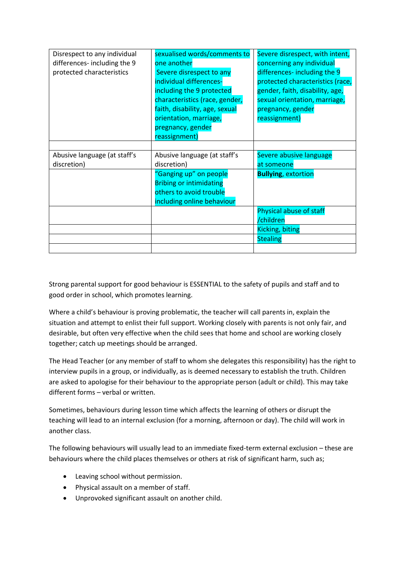| Disrespect to any individual | sexualised words/comments to   | Severe disrespect, with intent,  |
|------------------------------|--------------------------------|----------------------------------|
| differences-including the 9  | one another                    | concerning any individual        |
| protected characteristics    | Severe disrespect to any       | differences-including the 9      |
|                              | individual differences-        | protected characteristics (race, |
|                              | including the 9 protected      | gender, faith, disability, age,  |
|                              | characteristics (race, gender, | sexual orientation, marriage,    |
|                              | faith, disability, age, sexual | pregnancy, gender                |
|                              | orientation, marriage,         | reassignment)                    |
|                              | pregnancy, gender              |                                  |
|                              | reassignment)                  |                                  |
|                              |                                |                                  |
|                              |                                |                                  |
| Abusive language (at staff's | Abusive language (at staff's   | Severe abusive language          |
| discretion)                  | discretion)                    | at someone                       |
|                              | "Ganging up" on people         | <b>Bullying, extortion</b>       |
|                              | <b>Bribing or intimidating</b> |                                  |
|                              | others to avoid trouble        |                                  |
|                              | including online behaviour     |                                  |
|                              |                                | Physical abuse of staff          |
|                              |                                | /children                        |
|                              |                                | Kicking, biting                  |
|                              |                                | <b>Stealing</b>                  |

Strong parental support for good behaviour is ESSENTIAL to the safety of pupils and staff and to good order in school, which promotes learning.

Where a child's behaviour is proving problematic, the teacher will call parents in, explain the situation and attempt to enlist their full support. Working closely with parents is not only fair, and desirable, but often very effective when the child sees that home and school are working closely together; catch up meetings should be arranged.

The Head Teacher (or any member of staff to whom she delegates this responsibility) has the right to interview pupils in a group, or individually, as is deemed necessary to establish the truth. Children are asked to apologise for their behaviour to the appropriate person (adult or child). This may take different forms – verbal or written.

Sometimes, behaviours during lesson time which affects the learning of others or disrupt the teaching will lead to an internal exclusion (for a morning, afternoon or day). The child will work in another class.

The following behaviours will usually lead to an immediate fixed-term external exclusion – these are behaviours where the child places themselves or others at risk of significant harm, such as;

- Leaving school without permission.
- Physical assault on a member of staff.
- Unprovoked significant assault on another child.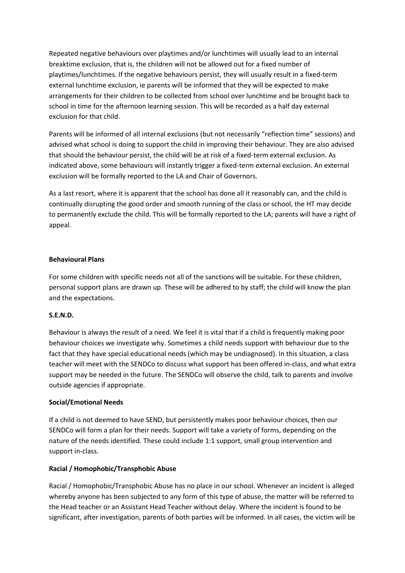Repeated negative behaviours over playtimes and/or lunchtimes will usually lead to an internal breaktime exclusion, that is, the children will not be allowed out for a fixed number of playtimes/lunchtimes. If the negative behaviours persist, they will usually result in a fixed-term external lunchtime exclusion, ie parents will be informed that they will be expected to make arrangements for their children to be collected from school over lunchtime and be brought back to school in time for the afternoon learning session. This will be recorded as a half day external exclusion for that child.

Parents will be informed of all internal exclusions (but not necessarily "reflection time" sessions) and advised what school is doing to support the child in improving their behaviour. They are also advised that should the behaviour persist, the child will be at risk of a fixed-term external exclusion. As indicated above, some behaviours will instantly trigger a fixed-term external exclusion. An external exclusion will be formally reported to the LA and Chair of Governors.

As a last resort, where it is apparent that the school has done all it reasonably can, and the child is continually disrupting the good order and smooth running of the class or school, the HT may decide to permanently exclude the child. This will be formally reported to the LA; parents will have a right of appeal.

# **Behavioural Plans**

For some children with specific needs not all of the sanctions will be suitable. For these children, personal support plans are drawn up. These will be adhered to by staff; the child will know the plan and the expectations.

#### **S.E.N.D.**

Behaviour is always the result of a need. We feel it is vital that if a child is frequently making poor behaviour choices we investigate why. Sometimes a child needs support with behaviour due to the fact that they have special educational needs (which may be undiagnosed). In this situation, a class teacher will meet with the SENDCo to discuss what support has been offered in-class, and what extra support may be needed in the future. The SENDCo will observe the child, talk to parents and involve outside agencies if appropriate.

#### **Social/Emotional Needs**

If a child is not deemed to have SEND, but persistently makes poor behaviour choices, then our SENDCo will form a plan for their needs. Support will take a variety of forms, depending on the nature of the needs identified. These could include 1:1 support, small group intervention and support in-class.

# **Racial / Homophobic/Transphobic Abuse**

Racial / Homophobic/Transphobic Abuse has no place in our school. Whenever an incident is alleged whereby anyone has been subjected to any form of this type of abuse, the matter will be referred to the Head teacher or an Assistant Head Teacher without delay. Where the incident is found to be significant, after investigation, parents of both parties will be informed. In all cases, the victim will be